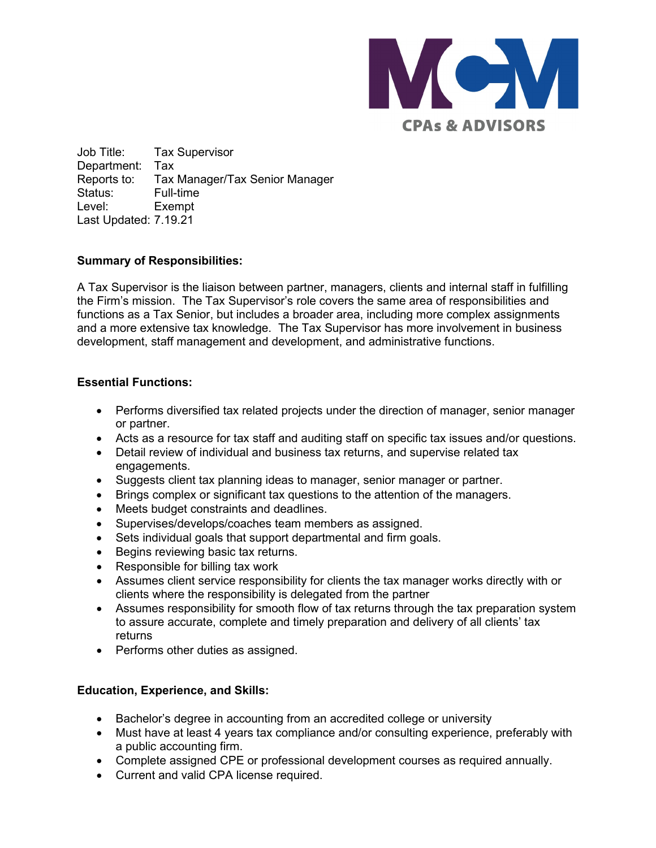

Job Title: Tax Supervisor Department: Tax Reports to: Tax Manager/Tax Senior Manager Status: Full-time Level: Exempt Last Updated: 7.19.21

# **Summary of Responsibilities:**

A Tax Supervisor is the liaison between partner, managers, clients and internal staff in fulfilling the Firm's mission. The Tax Supervisor's role covers the same area of responsibilities and functions as a Tax Senior, but includes a broader area, including more complex assignments and a more extensive tax knowledge. The Tax Supervisor has more involvement in business development, staff management and development, and administrative functions.

## **Essential Functions:**

- Performs diversified tax related projects under the direction of manager, senior manager or partner.
- Acts as a resource for tax staff and auditing staff on specific tax issues and/or questions.
- Detail review of individual and business tax returns, and supervise related tax engagements.
- Suggests client tax planning ideas to manager, senior manager or partner.
- Brings complex or significant tax questions to the attention of the managers.
- Meets budget constraints and deadlines.
- Supervises/develops/coaches team members as assigned.
- Sets individual goals that support departmental and firm goals.
- Begins reviewing basic tax returns.
- Responsible for billing tax work
- Assumes client service responsibility for clients the tax manager works directly with or clients where the responsibility is delegated from the partner
- Assumes responsibility for smooth flow of tax returns through the tax preparation system to assure accurate, complete and timely preparation and delivery of all clients' tax returns
- Performs other duties as assigned.

# **Education, Experience, and Skills:**

- Bachelor's degree in accounting from an accredited college or university
- Must have at least 4 years tax compliance and/or consulting experience, preferably with a public accounting firm.
- Complete assigned CPE or professional development courses as required annually.
- Current and valid CPA license required.